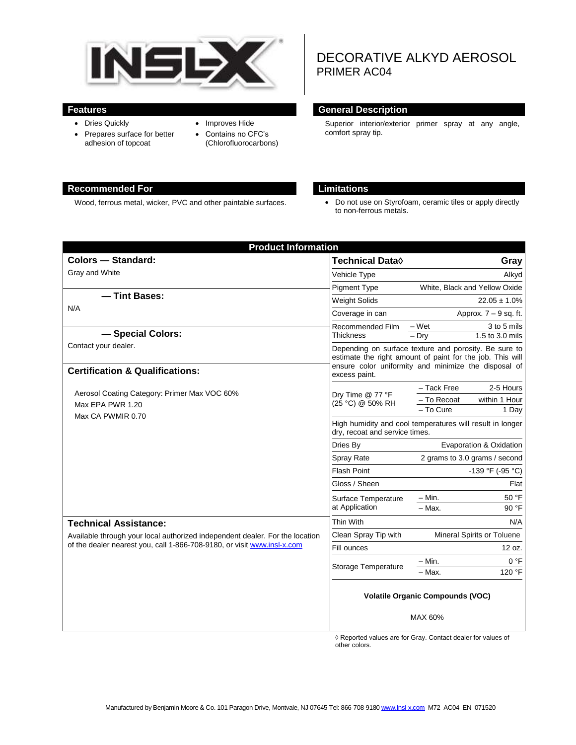

- Dries Quickly
- Prepares surface for better adhesion of topcoat
- Improves Hide
- Contains no CFC's (Chlorofluorocarbons)

# DECORATIVE ALKYD AEROSOL PRIMER AC04

#### **Features General Description**

Superior interior/exterior primer spray at any angle, comfort spray tip.

## **Recommended For Limitations**

Wood, ferrous metal, wicker, PVC and other paintable surfaces.  $\bullet$  Do not use on Styrofoam, ceramic tiles or apply directly to non-ferrous metals.

| <b>Product Information</b>                                                                                                                              |                                                                                                                                                                            |                               |                                    |
|---------------------------------------------------------------------------------------------------------------------------------------------------------|----------------------------------------------------------------------------------------------------------------------------------------------------------------------------|-------------------------------|------------------------------------|
| <b>Colors - Standard:</b>                                                                                                                               | Technical Data $\Diamond$                                                                                                                                                  |                               | Gray                               |
| Gray and White                                                                                                                                          | Vehicle Type                                                                                                                                                               |                               | Alkyd                              |
|                                                                                                                                                         | <b>Pigment Type</b>                                                                                                                                                        | White, Black and Yellow Oxide |                                    |
| - Tint Bases:<br>N/A<br>- Special Colors:                                                                                                               | <b>Weight Solids</b>                                                                                                                                                       | $22.05 \pm 1.0\%$             |                                    |
|                                                                                                                                                         | Coverage in can                                                                                                                                                            | Approx. $7 - 9$ sq. ft.       |                                    |
|                                                                                                                                                         | Recommended Film<br>Thickness                                                                                                                                              | – Wet<br>$-$ Dry              | 3 to 5 mils<br>$1.5$ to $3.0$ mils |
| Contact your dealer.                                                                                                                                    | Depending on surface texture and porosity. Be sure to<br>estimate the right amount of paint for the job. This will<br>ensure color uniformity and minimize the disposal of |                               |                                    |
| <b>Certification &amp; Qualifications:</b>                                                                                                              | excess paint.                                                                                                                                                              |                               |                                    |
| Aerosol Coating Category: Primer Max VOC 60%<br>Max EPA PWR 1.20<br>Max CA PWMIR 0.70                                                                   | Dry Time @ 77 °F<br>(25 °C) @ 50% RH                                                                                                                                       | - Tack Free<br>- To Recoat    | 2-5 Hours<br>within 1 Hour         |
|                                                                                                                                                         | - To Cure<br>1 Day<br>High humidity and cool temperatures will result in longer<br>dry, recoat and service times.                                                          |                               |                                    |
|                                                                                                                                                         | Dries By                                                                                                                                                                   | Evaporation & Oxidation       |                                    |
|                                                                                                                                                         | <b>Spray Rate</b>                                                                                                                                                          | 2 grams to 3.0 grams / second |                                    |
|                                                                                                                                                         | <b>Flash Point</b>                                                                                                                                                         | -139 °F (-95 °C)              |                                    |
|                                                                                                                                                         | Gloss / Sheen                                                                                                                                                              |                               | Flat                               |
|                                                                                                                                                         | Surface Temperature<br>at Application                                                                                                                                      | $- Min.$                      | 50 °F                              |
|                                                                                                                                                         |                                                                                                                                                                            | $-$ Max.                      | 90 °F                              |
| <b>Technical Assistance:</b>                                                                                                                            | Thin With                                                                                                                                                                  |                               | N/A                                |
| Available through your local authorized independent dealer. For the location<br>of the dealer nearest you, call 1-866-708-9180, or visit www.insl-x.com | Clean Spray Tip with                                                                                                                                                       | Mineral Spirits or Toluene    |                                    |
|                                                                                                                                                         | Fill ounces                                                                                                                                                                |                               | 12 oz.                             |
|                                                                                                                                                         | Storage Temperature                                                                                                                                                        | – Min.                        | 0 °F                               |
|                                                                                                                                                         |                                                                                                                                                                            | - Max.                        | 120 °F                             |
|                                                                                                                                                         | <b>Volatile Organic Compounds (VOC)</b>                                                                                                                                    |                               |                                    |
|                                                                                                                                                         | MAX 60%                                                                                                                                                                    |                               |                                    |

◊ Reported values are for Gray. Contact dealer for values of other colors.